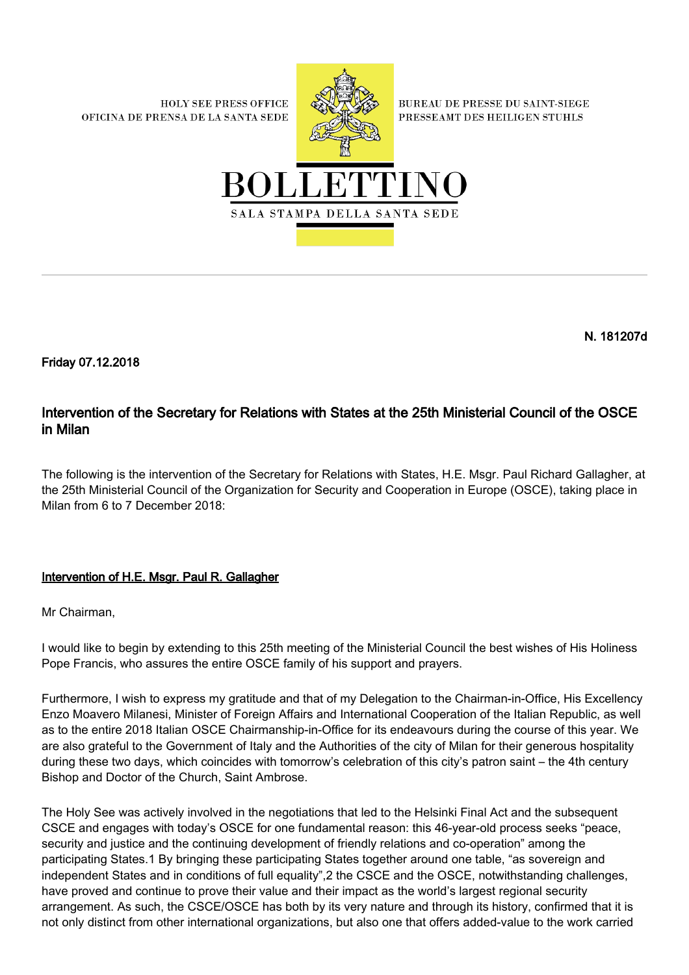**HOLY SEE PRESS OFFICE** OFICINA DE PRENSA DE LA SANTA SEDE



**BUREAU DE PRESSE DU SAINT-SIEGE** PRESSEAMT DES HEILIGEN STUHLS



N. 181207d

Friday 07.12.2018

## Intervention of the Secretary for Relations with States at the 25th Ministerial Council of the OSCE in Milan

The following is the intervention of the Secretary for Relations with States, H.E. Msgr. Paul Richard Gallagher, at the 25th Ministerial Council of the Organization for Security and Cooperation in Europe (OSCE), taking place in Milan from 6 to 7 December 2018:

## Intervention of H.E. Msgr. Paul R. Gallagher

Mr Chairman,

I would like to begin by extending to this 25th meeting of the Ministerial Council the best wishes of His Holiness Pope Francis, who assures the entire OSCE family of his support and prayers.

Furthermore, I wish to express my gratitude and that of my Delegation to the Chairman-in-Office, His Excellency Enzo Moavero Milanesi, Minister of Foreign Affairs and International Cooperation of the Italian Republic, as well as to the entire 2018 Italian OSCE Chairmanship-in-Office for its endeavours during the course of this year. We are also grateful to the Government of Italy and the Authorities of the city of Milan for their generous hospitality during these two days, which coincides with tomorrow's celebration of this city's patron saint – the 4th century Bishop and Doctor of the Church, Saint Ambrose.

The Holy See was actively involved in the negotiations that led to the Helsinki Final Act and the subsequent CSCE and engages with today's OSCE for one fundamental reason: this 46-year-old process seeks "peace, security and justice and the continuing development of friendly relations and co-operation" among the participating States.1 By bringing these participating States together around one table, "as sovereign and independent States and in conditions of full equality",2 the CSCE and the OSCE, notwithstanding challenges, have proved and continue to prove their value and their impact as the world's largest regional security arrangement. As such, the CSCE/OSCE has both by its very nature and through its history, confirmed that it is not only distinct from other international organizations, but also one that offers added-value to the work carried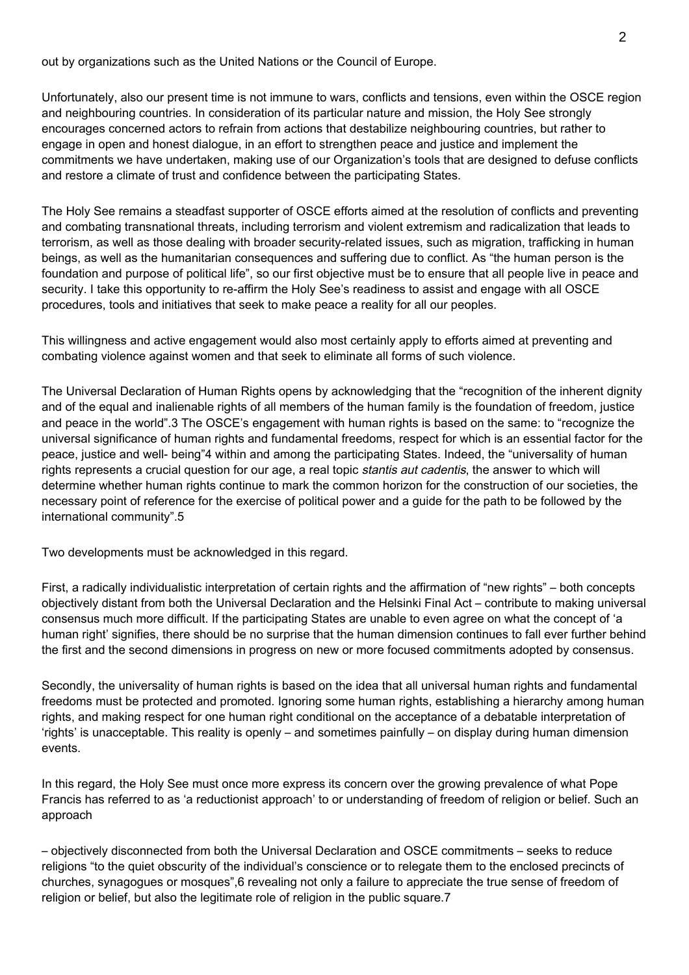out by organizations such as the United Nations or the Council of Europe.

Unfortunately, also our present time is not immune to wars, conflicts and tensions, even within the OSCE region and neighbouring countries. In consideration of its particular nature and mission, the Holy See strongly encourages concerned actors to refrain from actions that destabilize neighbouring countries, but rather to engage in open and honest dialogue, in an effort to strengthen peace and justice and implement the commitments we have undertaken, making use of our Organization's tools that are designed to defuse conflicts and restore a climate of trust and confidence between the participating States.

The Holy See remains a steadfast supporter of OSCE efforts aimed at the resolution of conflicts and preventing and combating transnational threats, including terrorism and violent extremism and radicalization that leads to terrorism, as well as those dealing with broader security-related issues, such as migration, trafficking in human beings, as well as the humanitarian consequences and suffering due to conflict. As "the human person is the foundation and purpose of political life", so our first objective must be to ensure that all people live in peace and security. I take this opportunity to re-affirm the Holy See's readiness to assist and engage with all OSCE procedures, tools and initiatives that seek to make peace a reality for all our peoples.

This willingness and active engagement would also most certainly apply to efforts aimed at preventing and combating violence against women and that seek to eliminate all forms of such violence.

The Universal Declaration of Human Rights opens by acknowledging that the "recognition of the inherent dignity and of the equal and inalienable rights of all members of the human family is the foundation of freedom, justice and peace in the world".3 The OSCE's engagement with human rights is based on the same: to "recognize the universal significance of human rights and fundamental freedoms, respect for which is an essential factor for the peace, justice and well- being"4 within and among the participating States. Indeed, the "universality of human rights represents a crucial question for our age, a real topic *stantis aut cadentis*, the answer to which will determine whether human rights continue to mark the common horizon for the construction of our societies, the necessary point of reference for the exercise of political power and a guide for the path to be followed by the international community".5

Two developments must be acknowledged in this regard.

First, a radically individualistic interpretation of certain rights and the affirmation of "new rights" – both concepts objectively distant from both the Universal Declaration and the Helsinki Final Act – contribute to making universal consensus much more difficult. If the participating States are unable to even agree on what the concept of 'a human right' signifies, there should be no surprise that the human dimension continues to fall ever further behind the first and the second dimensions in progress on new or more focused commitments adopted by consensus.

Secondly, the universality of human rights is based on the idea that all universal human rights and fundamental freedoms must be protected and promoted. Ignoring some human rights, establishing a hierarchy among human rights, and making respect for one human right conditional on the acceptance of a debatable interpretation of 'rights' is unacceptable. This reality is openly – and sometimes painfully – on display during human dimension events.

In this regard, the Holy See must once more express its concern over the growing prevalence of what Pope Francis has referred to as 'a reductionist approach' to or understanding of freedom of religion or belief. Such an approach

– objectively disconnected from both the Universal Declaration and OSCE commitments – seeks to reduce religions "to the quiet obscurity of the individual's conscience or to relegate them to the enclosed precincts of churches, synagogues or mosques",6 revealing not only a failure to appreciate the true sense of freedom of religion or belief, but also the legitimate role of religion in the public square.7